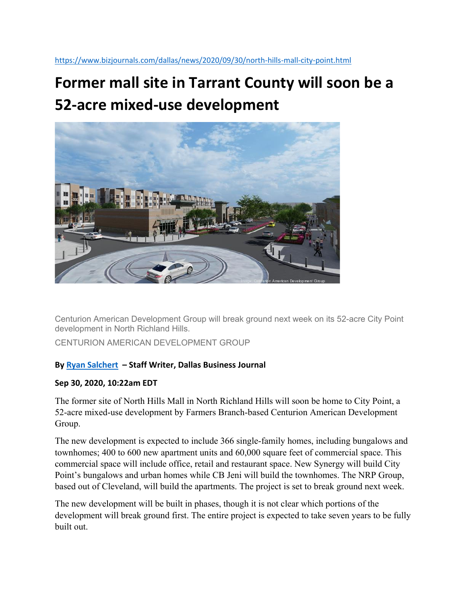## **Former mall site in Tarrant County will soon be a 52‐acre mixed‐use development**



Centurion American Development Group will break ground next week on its 52-acre City Point development in North Richland Hills.

CENTURION AMERICAN DEVELOPMENT GROUP

## **By Ryan Salchert – Staff Writer, Dallas Business Journal**

## **Sep 30, 2020, 10:22am EDT**

The former site of North Hills Mall in North Richland Hills will soon be home to City Point, a 52-acre mixed-use development by Farmers Branch-based Centurion American Development Group.

The new development is expected to include 366 single-family homes, including bungalows and townhomes; 400 to 600 new apartment units and 60,000 square feet of commercial space. This commercial space will include office, retail and restaurant space. New Synergy will build City Point's bungalows and urban homes while CB Jeni will build the townhomes. The NRP Group, based out of Cleveland, will build the apartments. The project is set to break ground next week.

The new development will be built in phases, though it is not clear which portions of the development will break ground first. The entire project is expected to take seven years to be fully built out.